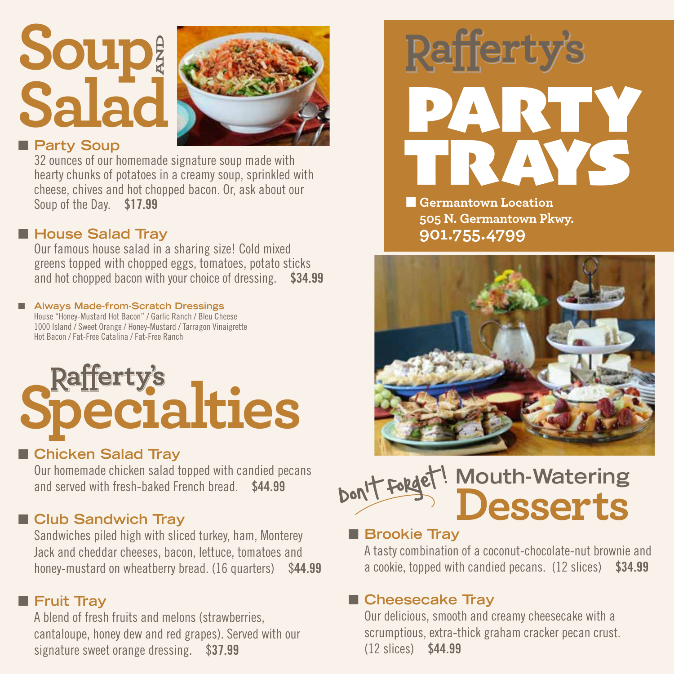## **Soup Salad AND**



#### **n** Party Soup

32 ounces of our homemade signature soup made with hearty chunks of potatoes in a creamy soup, sprinkled with cheese, chives and hot chopped bacon. Or, ask about our Soup of the Day. \$17.99

#### ■ House Salad Tray

Our famous house salad in a sharing size! Cold mixed greens topped with chopped eggs, tomatoes, potato sticks and hot chopped bacon with your choice of dressing. \$34.99

#### ■ Always Made-from-Scratch Dressings House "Honey-Mustard Hot Bacon" / Garlic Ranch / Bleu Cheese

1000 Island / Sweet Orange / Honey-Mustard / Tarragon Vinaigrette Hot Bacon / Fat-Free Catalina / Fat-Free Ranch

# **Rafferty's**<br>**Pecialties**

#### ■ Chicken Salad Tray

Our homemade chicken salad topped with candied pecans and served with fresh-baked French bread. \$44.99

#### **n** Club Sandwich Tray

Sandwiches piled high with sliced turkey, ham, Monterey Jack and cheddar cheeses, bacon, lettuce, tomatoes and honey-mustard on wheatberry bread. (16 quarters) \$44.99

#### **n** Fruit Tray

A blend of fresh fruits and melons (strawberries, cantaloupe, honey dew and red grapes). Served with our signature sweet orange dressing. \$37.99



**N** Germantown Location **505 N. Germantown Pkwy. 901.755.4799**



#### **Mouth-Watering Desserts** Don't forget!  $\overline{\phantom{a}}$

#### **n** Brookie Tray

A tasty combination of a coconut-chocolate-nut brownie and a cookie, topped with candied pecans. (12 slices) \$34.99

#### ■ Cheesecake Tray

Our delicious, smooth and creamy cheesecake with a scrumptious, extra-thick graham cracker pecan crust. (12 slices) \$44.99